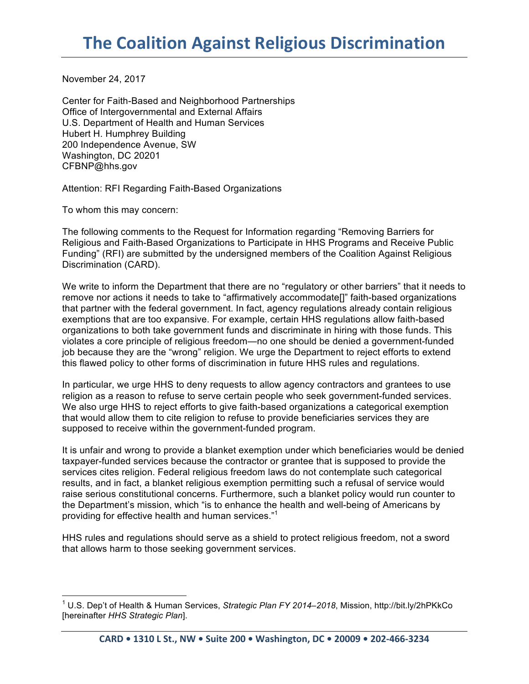November 24, 2017

Center for Faith-Based and Neighborhood Partnerships Office of Intergovernmental and External Affairs U.S. Department of Health and Human Services Hubert H. Humphrey Building 200 Independence Avenue, SW Washington, DC 20201 CFBNP@hhs.gov

Attention: RFI Regarding Faith-Based Organizations

To whom this may concern:

The following comments to the Request for Information regarding "Removing Barriers for Religious and Faith-Based Organizations to Participate in HHS Programs and Receive Public Funding" (RFI) are submitted by the undersigned members of the Coalition Against Religious Discrimination (CARD).

We write to inform the Department that there are no "regulatory or other barriers" that it needs to remove nor actions it needs to take to "affirmatively accommodate[]" faith-based organizations that partner with the federal government. In fact, agency regulations already contain religious exemptions that are too expansive. For example, certain HHS regulations allow faith-based organizations to both take government funds and discriminate in hiring with those funds. This violates a core principle of religious freedom—no one should be denied a government-funded job because they are the "wrong" religion. We urge the Department to reject efforts to extend this flawed policy to other forms of discrimination in future HHS rules and regulations.

In particular, we urge HHS to deny requests to allow agency contractors and grantees to use religion as a reason to refuse to serve certain people who seek government-funded services. We also urge HHS to reject efforts to give faith-based organizations a categorical exemption that would allow them to cite religion to refuse to provide beneficiaries services they are supposed to receive within the government-funded program.

It is unfair and wrong to provide a blanket exemption under which beneficiaries would be denied taxpayer-funded services because the contractor or grantee that is supposed to provide the services cites religion. Federal religious freedom laws do not contemplate such categorical results, and in fact, a blanket religious exemption permitting such a refusal of service would raise serious constitutional concerns. Furthermore, such a blanket policy would run counter to the Department's mission, which "is to enhance the health and well-being of Americans by providing for effective health and human services."<sup>1</sup>

HHS rules and regulations should serve as a shield to protect religious freedom, not a sword that allows harm to those seeking government services.

 <sup>1</sup> U.S. Dep't of Health & Human Services, *Strategic Plan FY 2014–2018*, Mission, http://bit.ly/2hPKkCo [hereinafter *HHS Strategic Plan*].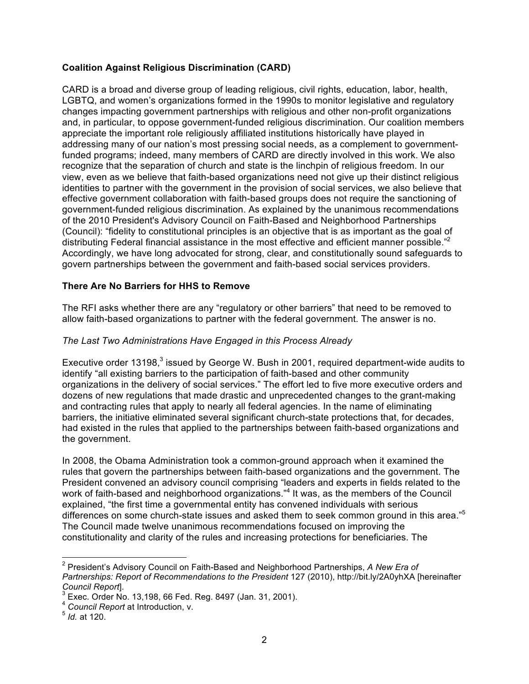# **Coalition Against Religious Discrimination (CARD)**

CARD is a broad and diverse group of leading religious, civil rights, education, labor, health, LGBTQ, and women's organizations formed in the 1990s to monitor legislative and regulatory changes impacting government partnerships with religious and other non-profit organizations and, in particular, to oppose government-funded religious discrimination. Our coalition members appreciate the important role religiously affiliated institutions historically have played in addressing many of our nation's most pressing social needs, as a complement to governmentfunded programs; indeed, many members of CARD are directly involved in this work. We also recognize that the separation of church and state is the linchpin of religious freedom. In our view, even as we believe that faith-based organizations need not give up their distinct religious identities to partner with the government in the provision of social services, we also believe that effective government collaboration with faith-based groups does not require the sanctioning of government-funded religious discrimination. As explained by the unanimous recommendations of the 2010 President's Advisory Council on Faith-Based and Neighborhood Partnerships (Council): "fidelity to constitutional principles is an objective that is as important as the goal of distributing Federal financial assistance in the most effective and efficient manner possible."<sup>2</sup> Accordingly, we have long advocated for strong, clear, and constitutionally sound safeguards to govern partnerships between the government and faith-based social services providers.

## **There Are No Barriers for HHS to Remove**

The RFI asks whether there are any "regulatory or other barriers" that need to be removed to allow faith-based organizations to partner with the federal government. The answer is no.

## *The Last Two Administrations Have Engaged in this Process Already*

Executive order 13198, $3$  issued by George W. Bush in 2001, required department-wide audits to identify "all existing barriers to the participation of faith-based and other community organizations in the delivery of social services." The effort led to five more executive orders and dozens of new regulations that made drastic and unprecedented changes to the grant-making and contracting rules that apply to nearly all federal agencies. In the name of eliminating barriers, the initiative eliminated several significant church-state protections that, for decades, had existed in the rules that applied to the partnerships between faith-based organizations and the government.

In 2008, the Obama Administration took a common-ground approach when it examined the rules that govern the partnerships between faith-based organizations and the government. The President convened an advisory council comprising "leaders and experts in fields related to the work of faith-based and neighborhood organizations."<sup>4</sup> It was, as the members of the Council explained, "the first time a governmental entity has convened individuals with serious differences on some church-state issues and asked them to seek common ground in this area."<sup>5</sup> The Council made twelve unanimous recommendations focused on improving the constitutionality and clarity of the rules and increasing protections for beneficiaries. The

 <sup>2</sup> President's Advisory Council on Faith-Based and Neighborhood Partnerships, *A New Era of Partnerships: Report of Recommendations to the President* 127 (2010), http://bit.ly/2A0yhXA [hereinafter *Council Report*].<br><sup>3</sup> Exec. Order No. 13,198, 66 Fed. Reg. 8497 (Jan. 31, 2001).

<sup>4</sup> *Council Report* at Introduction, v. <sup>5</sup> *Id.* at 120.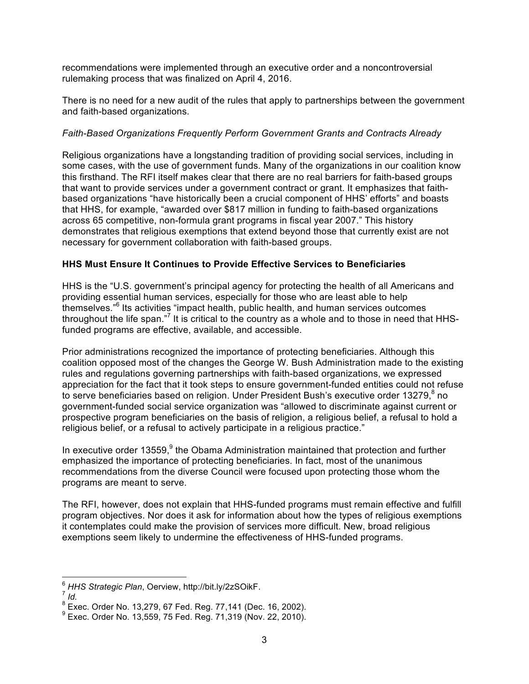recommendations were implemented through an executive order and a noncontroversial rulemaking process that was finalized on April 4, 2016.

There is no need for a new audit of the rules that apply to partnerships between the government and faith-based organizations.

## *Faith-Based Organizations Frequently Perform Government Grants and Contracts Already*

Religious organizations have a longstanding tradition of providing social services, including in some cases, with the use of government funds. Many of the organizations in our coalition know this firsthand. The RFI itself makes clear that there are no real barriers for faith-based groups that want to provide services under a government contract or grant. It emphasizes that faithbased organizations "have historically been a crucial component of HHS' efforts" and boasts that HHS, for example, "awarded over \$817 million in funding to faith-based organizations across 65 competitive, non-formula grant programs in fiscal year 2007." This history demonstrates that religious exemptions that extend beyond those that currently exist are not necessary for government collaboration with faith-based groups.

# **HHS Must Ensure It Continues to Provide Effective Services to Beneficiaries**

HHS is the "U.S. government's principal agency for protecting the health of all Americans and providing essential human services, especially for those who are least able to help themselves."<sup>6</sup> Its activities "impact health, public health, and human services outcomes throughout the life span."<sup>7</sup> It is critical to the country as a whole and to those in need that HHSfunded programs are effective, available, and accessible.

Prior administrations recognized the importance of protecting beneficiaries. Although this coalition opposed most of the changes the George W. Bush Administration made to the existing rules and regulations governing partnerships with faith-based organizations, we expressed appreciation for the fact that it took steps to ensure government-funded entities could not refuse to serve beneficiaries based on religion. Under President Bush's executive order 13279, no government-funded social service organization was "allowed to discriminate against current or prospective program beneficiaries on the basis of religion, a religious belief, a refusal to hold a religious belief, or a refusal to actively participate in a religious practice."

In executive order  $13559$ ,  $9$  the Obama Administration maintained that protection and further emphasized the importance of protecting beneficiaries. In fact, most of the unanimous recommendations from the diverse Council were focused upon protecting those whom the programs are meant to serve.

The RFI, however, does not explain that HHS-funded programs must remain effective and fulfill program objectives. Nor does it ask for information about how the types of religious exemptions it contemplates could make the provision of services more difficult. New, broad religious exemptions seem likely to undermine the effectiveness of HHS-funded programs.

<sup>&</sup>lt;sup>6</sup> HHS Strategic Plan, Oerview, http://bit.ly/2zSOikF.<br><sup>7</sup> Id.<br><sup>8</sup> Exec. Order No. 13.279, 67 Fed. Reg. 77,141 (Dec. 16, 2002).

 $^{9}$  Exec. Order No. 13,559, 75 Fed. Reg. 71,319 (Nov. 22, 2010).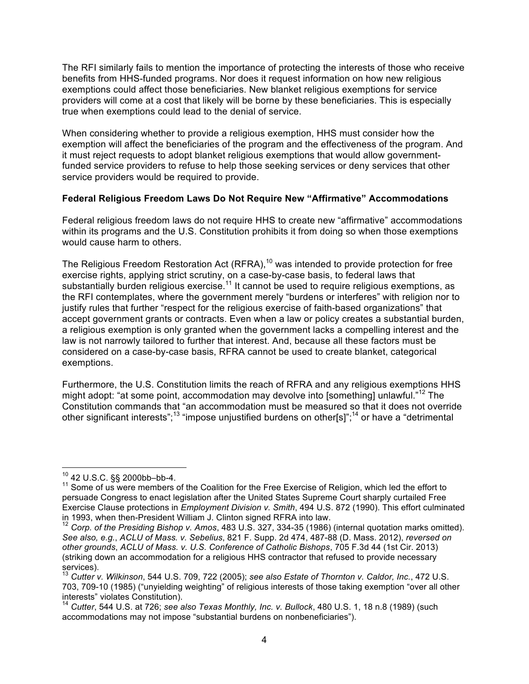The RFI similarly fails to mention the importance of protecting the interests of those who receive benefits from HHS-funded programs. Nor does it request information on how new religious exemptions could affect those beneficiaries. New blanket religious exemptions for service providers will come at a cost that likely will be borne by these beneficiaries. This is especially true when exemptions could lead to the denial of service.

When considering whether to provide a religious exemption, HHS must consider how the exemption will affect the beneficiaries of the program and the effectiveness of the program. And it must reject requests to adopt blanket religious exemptions that would allow governmentfunded service providers to refuse to help those seeking services or deny services that other service providers would be required to provide.

## **Federal Religious Freedom Laws Do Not Require New "Affirmative" Accommodations**

Federal religious freedom laws do not require HHS to create new "affirmative" accommodations within its programs and the U.S. Constitution prohibits it from doing so when those exemptions would cause harm to others.

The Religious Freedom Restoration Act (RFRA),<sup>10</sup> was intended to provide protection for free exercise rights, applying strict scrutiny, on a case-by-case basis, to federal laws that substantially burden religious exercise.<sup>11</sup> It cannot be used to require religious exemptions, as the RFI contemplates, where the government merely "burdens or interferes" with religion nor to justify rules that further "respect for the religious exercise of faith-based organizations" that accept government grants or contracts. Even when a law or policy creates a substantial burden, a religious exemption is only granted when the government lacks a compelling interest and the law is not narrowly tailored to further that interest. And, because all these factors must be considered on a case-by-case basis, RFRA cannot be used to create blanket, categorical exemptions.

Furthermore, the U.S. Constitution limits the reach of RFRA and any religious exemptions HHS might adopt: "at some point, accommodation may devolve into [something] unlawful."<sup>12</sup> The Constitution commands that "an accommodation must be measured so that it does not override other significant interests";<sup>13</sup> "impose unjustified burdens on other[s]";<sup>14</sup> or have a "detrimental

<sup>&</sup>lt;sup>10</sup> 42 U.S.C. §§ 2000bb–bb-4.<br><sup>11</sup> Some of us were members of the Coalition for the Free Exercise of Religion, which led the effort to persuade Congress to enact legislation after the United States Supreme Court sharply curtailed Free Exercise Clause protections in *Employment Division v. Smith*, 494 U.S. 872 (1990). This effort culminated in 1993, when then-President William J. Clinton signed RFRA into law.<br><sup>12</sup> *Corp. of the Presiding Bishop v. Amos*, 483 U.S. 327, 334-35 (1986) (internal quotation marks omitted).

*See also, e.g.*, *ACLU of Mass. v. Sebelius*, 821 F. Supp. 2d 474, 487-88 (D. Mass. 2012), *reversed on other grounds*, *ACLU of Mass. v. U.S. Conference of Catholic Bishops*, 705 F.3d 44 (1st Cir. 2013) (striking down an accommodation for a religious HHS contractor that refused to provide necessary services). <sup>13</sup> *Cutter v. Wilkinson*, 544 U.S. 709, 722 (2005); *see also Estate of Thornton v. Caldor, Inc.*, 472 U.S.

<sup>703, 709-10 (1985) (&</sup>quot;unyielding weighting" of religious interests of those taking exemption "over all other

<sup>&</sup>lt;sup>14</sup> Cutter, 544 U.S. at 726; see also Texas Monthly, Inc. v. Bullock, 480 U.S. 1, 18 n.8 (1989) (such accommodations may not impose "substantial burdens on nonbeneficiaries").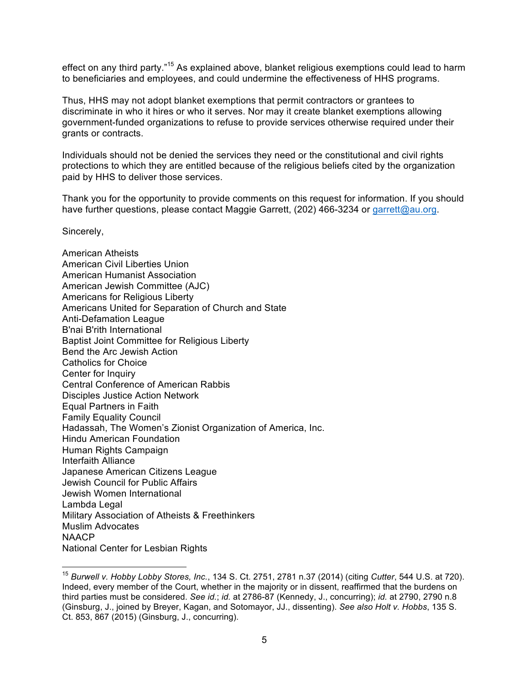effect on any third party."<sup>15</sup> As explained above, blanket religious exemptions could lead to harm to beneficiaries and employees, and could undermine the effectiveness of HHS programs.

Thus, HHS may not adopt blanket exemptions that permit contractors or grantees to discriminate in who it hires or who it serves. Nor may it create blanket exemptions allowing government-funded organizations to refuse to provide services otherwise required under their grants or contracts.

Individuals should not be denied the services they need or the constitutional and civil rights protections to which they are entitled because of the religious beliefs cited by the organization paid by HHS to deliver those services.

Thank you for the opportunity to provide comments on this request for information. If you should have further questions, please contact Maggie Garrett, (202) 466-3234 or garrett@au.org.

Sincerely,

American Atheists American Civil Liberties Union American Humanist Association American Jewish Committee (AJC) Americans for Religious Liberty Americans United for Separation of Church and State Anti-Defamation League B'nai B'rith International Baptist Joint Committee for Religious Liberty Bend the Arc Jewish Action Catholics for Choice Center for Inquiry Central Conference of American Rabbis Disciples Justice Action Network Equal Partners in Faith Family Equality Council Hadassah, The Women's Zionist Organization of America, Inc. Hindu American Foundation Human Rights Campaign Interfaith Alliance Japanese American Citizens League Jewish Council for Public Affairs Jewish Women International Lambda Legal Military Association of Atheists & Freethinkers Muslim Advocates **NAACP** National Center for Lesbian Rights

 <sup>15</sup> *Burwell v. Hobby Lobby Stores, Inc.*, 134 S. Ct. 2751, 2781 n.37 (2014) (citing *Cutter*, 544 U.S. at 720). Indeed, every member of the Court, whether in the majority or in dissent, reaffirmed that the burdens on third parties must be considered. *See id.*; *id.* at 2786-87 (Kennedy, J., concurring); *id.* at 2790, 2790 n.8 (Ginsburg, J., joined by Breyer, Kagan, and Sotomayor, JJ., dissenting). *See also Holt v. Hobbs*, 135 S. Ct. 853, 867 (2015) (Ginsburg, J., concurring).